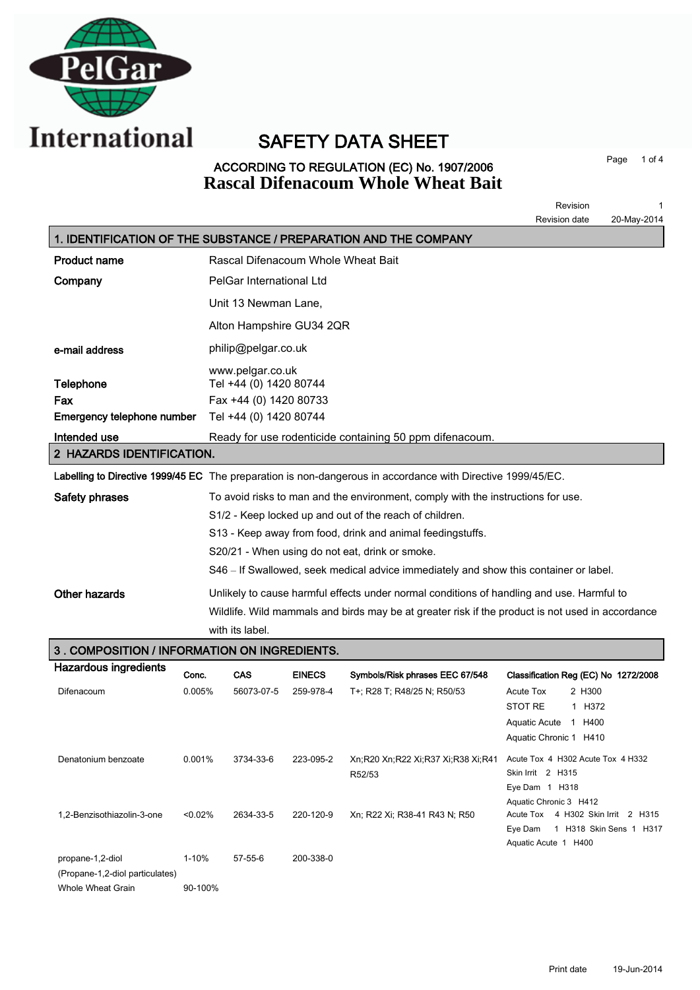

# SAFETY DATA SHEET

### ACCORDING TO REGULATION (EC) No. 1907/2006 **Rascal Difenacoum Whole Wheat Bait**

Page 1 of 4

|                                              |        |                                                         |               |                                                                                                             | Revision<br>Revision date                                          | 20-May-2014 |
|----------------------------------------------|--------|---------------------------------------------------------|---------------|-------------------------------------------------------------------------------------------------------------|--------------------------------------------------------------------|-------------|
|                                              |        |                                                         |               | 1. IDENTIFICATION OF THE SUBSTANCE / PREPARATION AND THE COMPANY                                            |                                                                    |             |
| <b>Product name</b>                          |        | Rascal Difenacoum Whole Wheat Bait                      |               |                                                                                                             |                                                                    |             |
| Company                                      |        | PelGar International Ltd                                |               |                                                                                                             |                                                                    |             |
|                                              |        | Unit 13 Newman Lane,                                    |               |                                                                                                             |                                                                    |             |
|                                              |        | Alton Hampshire GU34 2QR                                |               |                                                                                                             |                                                                    |             |
| e-mail address                               |        | philip@pelgar.co.uk                                     |               |                                                                                                             |                                                                    |             |
| Telephone                                    |        | www.pelgar.co.uk<br>Tel +44 (0) 1420 80744              |               |                                                                                                             |                                                                    |             |
| Fax                                          |        | Fax +44 (0) 1420 80733                                  |               |                                                                                                             |                                                                    |             |
| Emergency telephone number                   |        | Tel +44 (0) 1420 80744                                  |               |                                                                                                             |                                                                    |             |
| Intended use                                 |        |                                                         |               | Ready for use rodenticide containing 50 ppm difenacoum.                                                     |                                                                    |             |
| 2 HAZARDS IDENTIFICATION.                    |        |                                                         |               |                                                                                                             |                                                                    |             |
|                                              |        |                                                         |               | Labelling to Directive 1999/45 EC The preparation is non-dangerous in accordance with Directive 1999/45/EC. |                                                                    |             |
| Safety phrases                               |        |                                                         |               | To avoid risks to man and the environment, comply with the instructions for use.                            |                                                                    |             |
|                                              |        | S1/2 - Keep locked up and out of the reach of children. |               |                                                                                                             |                                                                    |             |
|                                              |        |                                                         |               | S13 - Keep away from food, drink and animal feedingstuffs.                                                  |                                                                    |             |
|                                              |        |                                                         |               | S20/21 - When using do not eat, drink or smoke.                                                             |                                                                    |             |
|                                              |        |                                                         |               | S46 – If Swallowed, seek medical advice immediately and show this container or label.                       |                                                                    |             |
| <b>Other hazards</b>                         |        |                                                         |               | Unlikely to cause harmful effects under normal conditions of handling and use. Harmful to                   |                                                                    |             |
|                                              |        |                                                         |               | Wildlife. Wild mammals and birds may be at greater risk if the product is not used in accordance            |                                                                    |             |
|                                              |        | with its label.                                         |               |                                                                                                             |                                                                    |             |
| 3. COMPOSITION / INFORMATION ON INGREDIENTS. |        |                                                         |               |                                                                                                             |                                                                    |             |
| <b>Hazardous ingredients</b>                 | Conc.  | <b>CAS</b>                                              | <b>EINECS</b> | Symbols/Risk phrases EEC 67/548                                                                             |                                                                    |             |
| Difenacoum                                   | 0.005% | 56073-07-5                                              | 259-978-4     | T+: R28 T; R48/25 N; R50/53                                                                                 | Classification Reg (EC) No 1272/2008<br><b>Acute Tox</b><br>2 H300 |             |
|                                              |        |                                                         |               |                                                                                                             | STOT RE<br>1 H372                                                  |             |

|                                 |            |           |           |                                    | Aquatic Acute 1 H400                  |
|---------------------------------|------------|-----------|-----------|------------------------------------|---------------------------------------|
|                                 |            |           |           |                                    | Aquatic Chronic 1 H410                |
| Denatonium benzoate             | $0.001\%$  | 3734-33-6 | 223-095-2 | Xn;R20 Xn;R22 Xi;R37 Xi;R38 Xi;R41 | Acute Tox 4 H302 Acute Tox 4 H332     |
|                                 |            |           |           | R52/53                             | Skin Irrit 2 H315                     |
|                                 |            |           |           |                                    | Eye Dam 1 H318                        |
|                                 |            |           |           |                                    | Aquatic Chronic 3 H412                |
| 1,2-Benzisothiazolin-3-one      | $< 0.02\%$ | 2634-33-5 | 220-120-9 | Xn: R22 Xi: R38-41 R43 N: R50      | 4 H302 Skin Irrit 2 H315<br>Acute Tox |
|                                 |            |           |           |                                    | 1 H318 Skin Sens 1 H317<br>Eye Dam    |
|                                 |            |           |           |                                    | Aquatic Acute 1 H400                  |
| propane-1,2-diol                | $1 - 10%$  | $57-55-6$ | 200-338-0 |                                    |                                       |
| (Propane-1,2-diol particulates) |            |           |           |                                    |                                       |

Whole Wheat Grain 90-100%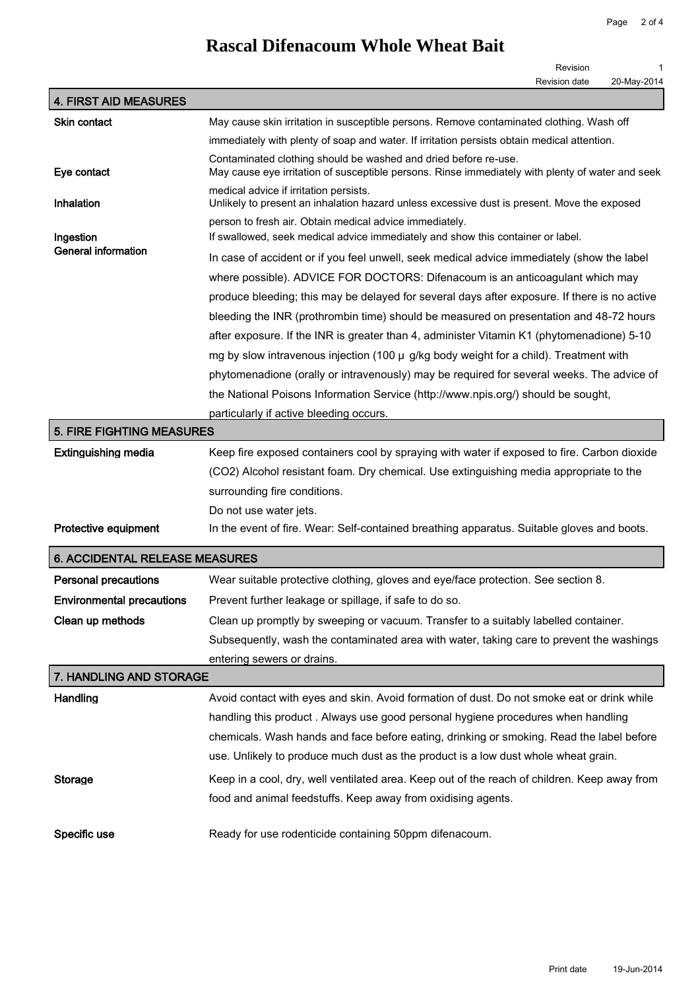## **Rascal Difenacoum Whole Wheat Bait**

|                                       |                                                                                                                                                                     | Revision      |             |  |  |  |
|---------------------------------------|---------------------------------------------------------------------------------------------------------------------------------------------------------------------|---------------|-------------|--|--|--|
| <b>4. FIRST AID MEASURES</b>          |                                                                                                                                                                     | Revision date | 20-May-2014 |  |  |  |
| Skin contact                          | May cause skin irritation in susceptible persons. Remove contaminated clothing. Wash off                                                                            |               |             |  |  |  |
|                                       | immediately with plenty of soap and water. If irritation persists obtain medical attention.                                                                         |               |             |  |  |  |
| Eye contact                           | Contaminated clothing should be washed and dried before re-use.<br>May cause eye irritation of susceptible persons. Rinse immediately with plenty of water and seek |               |             |  |  |  |
| Inhalation                            | medical advice if irritation persists.<br>Unlikely to present an inhalation hazard unless excessive dust is present. Move the exposed                               |               |             |  |  |  |
|                                       | person to fresh air. Obtain medical advice immediately.                                                                                                             |               |             |  |  |  |
| Ingestion                             | If swallowed, seek medical advice immediately and show this container or label.                                                                                     |               |             |  |  |  |
| <b>General information</b>            | In case of accident or if you feel unwell, seek medical advice immediately (show the label                                                                          |               |             |  |  |  |
|                                       | where possible). ADVICE FOR DOCTORS: Difenacoum is an anticoagulant which may                                                                                       |               |             |  |  |  |
|                                       | produce bleeding; this may be delayed for several days after exposure. If there is no active                                                                        |               |             |  |  |  |
|                                       | bleeding the INR (prothrombin time) should be measured on presentation and 48-72 hours                                                                              |               |             |  |  |  |
|                                       | after exposure. If the INR is greater than 4, administer Vitamin K1 (phytomenadione) 5-10                                                                           |               |             |  |  |  |
|                                       | mg by slow intravenous injection (100 $\mu$ g/kg body weight for a child). Treatment with                                                                           |               |             |  |  |  |
|                                       | phytomenadione (orally or intravenously) may be required for several weeks. The advice of                                                                           |               |             |  |  |  |
|                                       | the National Poisons Information Service (http://www.npis.org/) should be sought,                                                                                   |               |             |  |  |  |
|                                       | particularly if active bleeding occurs.                                                                                                                             |               |             |  |  |  |
| 5. FIRE FIGHTING MEASURES             |                                                                                                                                                                     |               |             |  |  |  |
| <b>Extinguishing media</b>            | Keep fire exposed containers cool by spraying with water if exposed to fire. Carbon dioxide                                                                         |               |             |  |  |  |
|                                       | (CO2) Alcohol resistant foam. Dry chemical. Use extinguishing media appropriate to the                                                                              |               |             |  |  |  |
|                                       | surrounding fire conditions.                                                                                                                                        |               |             |  |  |  |
|                                       | Do not use water jets.                                                                                                                                              |               |             |  |  |  |
| Protective equipment                  | In the event of fire. Wear: Self-contained breathing apparatus. Suitable gloves and boots.                                                                          |               |             |  |  |  |
| <b>6. ACCIDENTAL RELEASE MEASURES</b> |                                                                                                                                                                     |               |             |  |  |  |
| <b>Personal precautions</b>           | Wear suitable protective clothing, gloves and eye/face protection. See section 8.                                                                                   |               |             |  |  |  |
| <b>Environmental precautions</b>      | Prevent further leakage or spillage, if safe to do so.                                                                                                              |               |             |  |  |  |
| Clean up methods                      | Clean up promptly by sweeping or vacuum. Transfer to a suitably labelled container.                                                                                 |               |             |  |  |  |
|                                       | Subsequently, wash the contaminated area with water, taking care to prevent the washings                                                                            |               |             |  |  |  |
|                                       | entering sewers or drains.                                                                                                                                          |               |             |  |  |  |
| 7. HANDLING AND STORAGE               |                                                                                                                                                                     |               |             |  |  |  |
| Handling                              | Avoid contact with eyes and skin. Avoid formation of dust. Do not smoke eat or drink while                                                                          |               |             |  |  |  |
|                                       | handling this product . Always use good personal hygiene procedures when handling                                                                                   |               |             |  |  |  |
|                                       | chemicals. Wash hands and face before eating, drinking or smoking. Read the label before                                                                            |               |             |  |  |  |
|                                       | use. Unlikely to produce much dust as the product is a low dust whole wheat grain.                                                                                  |               |             |  |  |  |
| Storage                               | Keep in a cool, dry, well ventilated area. Keep out of the reach of children. Keep away from                                                                        |               |             |  |  |  |
|                                       | food and animal feedstuffs. Keep away from oxidising agents.                                                                                                        |               |             |  |  |  |
| Specific use                          | Ready for use rodenticide containing 50ppm difenacoum.                                                                                                              |               |             |  |  |  |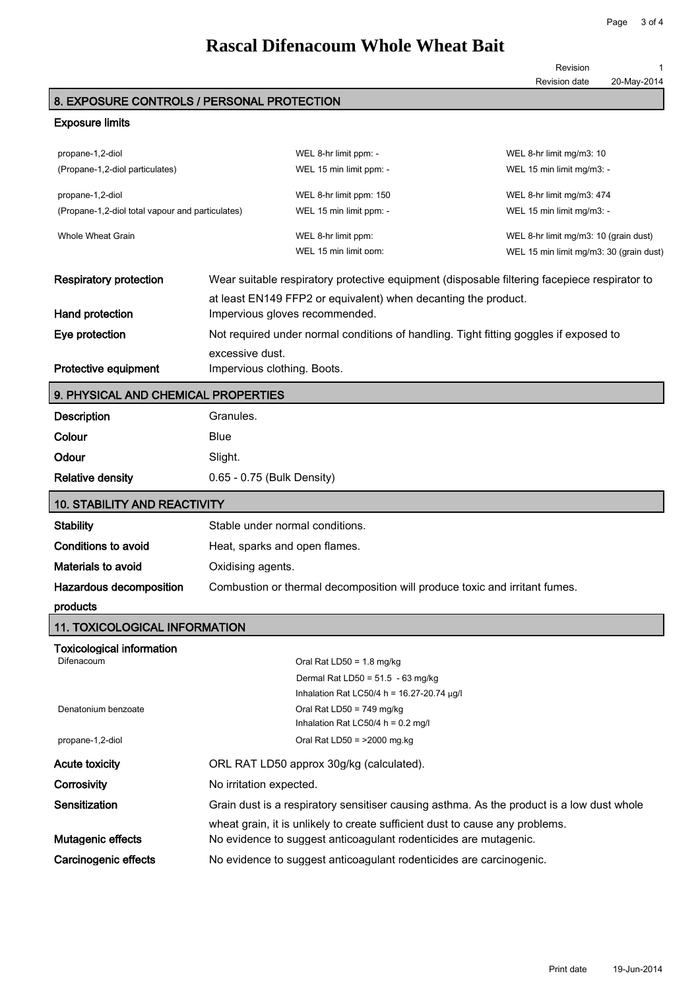Revision 1

#### 8. EXPOSURE CONTROLS / PERSONAL PROTECTION

### Exposure limits

| EXPOSUI E IIIIIIIS                               |                                                                                                  |                                                                                                                                                  |                                                                                              |  |
|--------------------------------------------------|--------------------------------------------------------------------------------------------------|--------------------------------------------------------------------------------------------------------------------------------------------------|----------------------------------------------------------------------------------------------|--|
| propane-1,2-diol                                 |                                                                                                  | WEL 8-hr limit ppm: -                                                                                                                            | WEL 8-hr limit mg/m3: 10                                                                     |  |
| (Propane-1,2-diol particulates)                  |                                                                                                  | WEL 15 min limit ppm: -                                                                                                                          | WEL 15 min limit mg/m3: -                                                                    |  |
| propane-1,2-diol                                 |                                                                                                  | WEL 8-hr limit ppm: 150                                                                                                                          | WEL 8-hr limit mg/m3: 474                                                                    |  |
| (Propane-1,2-diol total vapour and particulates) |                                                                                                  | WEL 15 min limit ppm: -                                                                                                                          | WEL 15 min limit mg/m3: -                                                                    |  |
| <b>Whole Wheat Grain</b>                         |                                                                                                  | WEL 8-hr limit ppm:                                                                                                                              | WEL 8-hr limit mg/m3: 10 (grain dust)                                                        |  |
|                                                  |                                                                                                  | WEL 15 min limit ppm:                                                                                                                            | WEL 15 min limit mg/m3: 30 (grain dust)                                                      |  |
| <b>Respiratory protection</b>                    |                                                                                                  |                                                                                                                                                  | Wear suitable respiratory protective equipment (disposable filtering facepiece respirator to |  |
| <b>Hand protection</b>                           | at least EN149 FFP2 or equivalent) when decanting the product.<br>Impervious gloves recommended. |                                                                                                                                                  |                                                                                              |  |
| Eye protection                                   | Not required under normal conditions of handling. Tight fitting goggles if exposed to            |                                                                                                                                                  |                                                                                              |  |
| Protective equipment                             | excessive dust.<br>Impervious clothing. Boots.                                                   |                                                                                                                                                  |                                                                                              |  |
|                                                  |                                                                                                  |                                                                                                                                                  |                                                                                              |  |
| 9. PHYSICAL AND CHEMICAL PROPERTIES              |                                                                                                  |                                                                                                                                                  |                                                                                              |  |
| <b>Description</b>                               | Granules.                                                                                        |                                                                                                                                                  |                                                                                              |  |
| Colour                                           | <b>Blue</b>                                                                                      |                                                                                                                                                  |                                                                                              |  |
| Odour                                            | Slight.                                                                                          |                                                                                                                                                  |                                                                                              |  |
| <b>Relative density</b>                          | 0.65 - 0.75 (Bulk Density)                                                                       |                                                                                                                                                  |                                                                                              |  |
| <b>10. STABILITY AND REACTIVITY</b>              |                                                                                                  |                                                                                                                                                  |                                                                                              |  |
| <b>Stability</b>                                 |                                                                                                  | Stable under normal conditions.                                                                                                                  |                                                                                              |  |
| <b>Conditions to avoid</b>                       |                                                                                                  | Heat, sparks and open flames.                                                                                                                    |                                                                                              |  |
| <b>Materials to avoid</b>                        | Oxidising agents.                                                                                |                                                                                                                                                  |                                                                                              |  |
| Hazardous decomposition                          |                                                                                                  | Combustion or thermal decomposition will produce toxic and irritant fumes.                                                                       |                                                                                              |  |
| products                                         |                                                                                                  |                                                                                                                                                  |                                                                                              |  |
| <b>11. TOXICOLOGICAL INFORMATION</b>             |                                                                                                  |                                                                                                                                                  |                                                                                              |  |
| <b>Toxicological information</b>                 |                                                                                                  |                                                                                                                                                  |                                                                                              |  |
| Difenacoum                                       |                                                                                                  | Oral Rat LD50 = $1.8 \text{ mg/kg}$<br>Dermal Rat LD50 = $51.5 - 63$ mg/kg                                                                       |                                                                                              |  |
|                                                  |                                                                                                  | Inhalation Rat LC50/4 h = 16.27-20.74 $\mu$ g/l                                                                                                  |                                                                                              |  |
| Denatonium benzoate                              |                                                                                                  | Oral Rat LD50 = 749 mg/kg                                                                                                                        |                                                                                              |  |
|                                                  |                                                                                                  | Inhalation Rat LC50/4 h = $0.2$ mg/l                                                                                                             |                                                                                              |  |
| propane-1,2-diol                                 |                                                                                                  | Oral Rat LD50 = >2000 mg.kg                                                                                                                      |                                                                                              |  |
| <b>Acute toxicity</b>                            |                                                                                                  | ORL RAT LD50 approx 30g/kg (calculated).                                                                                                         |                                                                                              |  |
| Corrosivity                                      | No irritation expected.                                                                          |                                                                                                                                                  |                                                                                              |  |
| Sensitization                                    |                                                                                                  |                                                                                                                                                  | Grain dust is a respiratory sensitiser causing asthma. As the product is a low dust whole    |  |
| Mutagenic effects                                |                                                                                                  | wheat grain, it is unlikely to create sufficient dust to cause any problems.<br>No evidence to suggest anticoagulant rodenticides are mutagenic. |                                                                                              |  |
| Carcinogenic effects                             |                                                                                                  | No evidence to suggest anticoagulant rodenticides are carcinogenic.                                                                              |                                                                                              |  |
|                                                  |                                                                                                  |                                                                                                                                                  |                                                                                              |  |